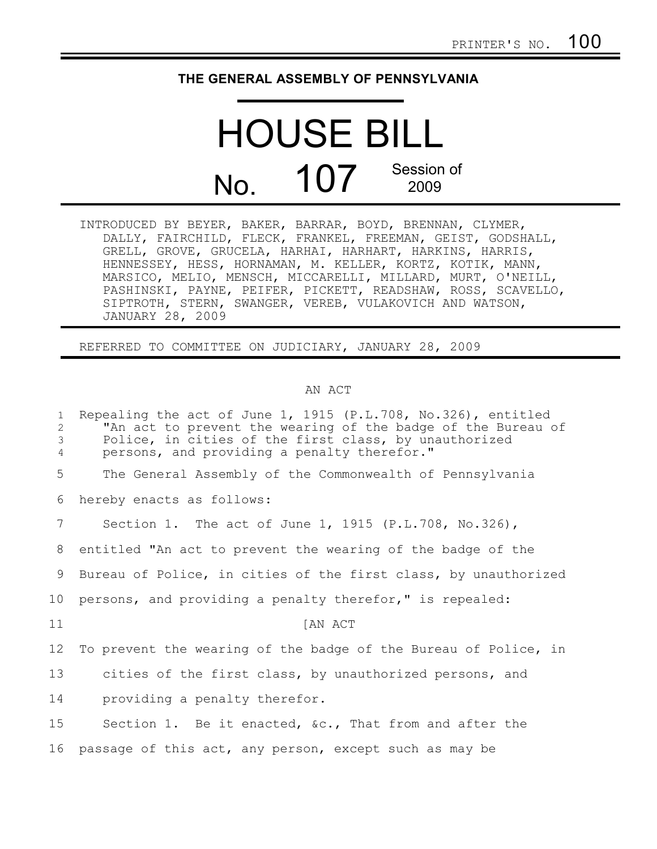## **THE GENERAL ASSEMBLY OF PENNSYLVANIA**

## HOUSE BILL No. 107 Session of 2009

INTRODUCED BY BEYER, BAKER, BARRAR, BOYD, BRENNAN, CLYMER, DALLY, FAIRCHILD, FLECK, FRANKEL, FREEMAN, GEIST, GODSHALL, GRELL, GROVE, GRUCELA, HARHAI, HARHART, HARKINS, HARRIS, HENNESSEY, HESS, HORNAMAN, M. KELLER, KORTZ, KOTIK, MANN, MARSICO, MELIO, MENSCH, MICCARELLI, MILLARD, MURT, O'NEILL, PASHINSKI, PAYNE, PEIFER, PICKETT, READSHAW, ROSS, SCAVELLO, SIPTROTH, STERN, SWANGER, VEREB, VULAKOVICH AND WATSON, JANUARY 28, 2009

REFERRED TO COMMITTEE ON JUDICIARY, JANUARY 28, 2009

## AN ACT

| $\mathbf{1}$<br>2<br>3<br>4 | Repealing the act of June 1, 1915 (P.L.708, No.326), entitled<br>"An act to prevent the wearing of the badge of the Bureau of<br>Police, in cities of the first class, by unauthorized<br>persons, and providing a penalty therefor." |
|-----------------------------|---------------------------------------------------------------------------------------------------------------------------------------------------------------------------------------------------------------------------------------|
| 5                           | The General Assembly of the Commonwealth of Pennsylvania                                                                                                                                                                              |
| 6                           | hereby enacts as follows:                                                                                                                                                                                                             |
| $7\phantom{.0}$             | Section 1. The act of June 1, 1915 (P.L.708, No.326),                                                                                                                                                                                 |
| 8                           | entitled "An act to prevent the wearing of the badge of the                                                                                                                                                                           |
| 9                           | Bureau of Police, in cities of the first class, by unauthorized                                                                                                                                                                       |
| 10                          | persons, and providing a penalty therefor," is repealed:                                                                                                                                                                              |
| 11                          | [AN ACT                                                                                                                                                                                                                               |
| 12                          | To prevent the wearing of the badge of the Bureau of Police, in                                                                                                                                                                       |
| 13                          | cities of the first class, by unauthorized persons, and                                                                                                                                                                               |
| 14                          | providing a penalty therefor.                                                                                                                                                                                                         |
| 15                          | Section 1. Be it enacted, &c., That from and after the                                                                                                                                                                                |
| 16                          | passage of this act, any person, except such as may be                                                                                                                                                                                |